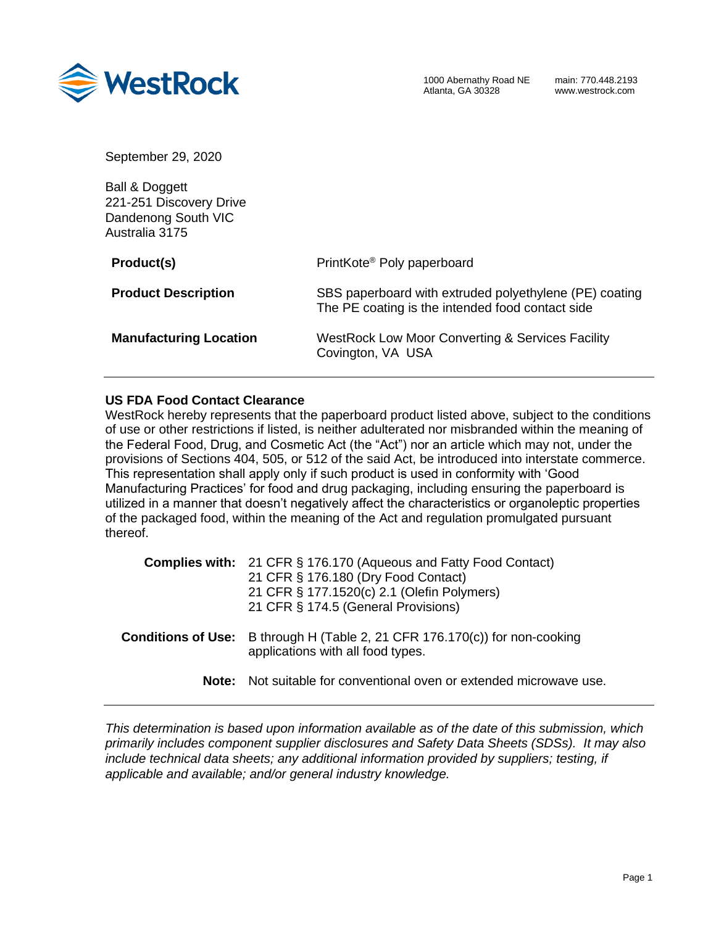

September 29, 2020

Ball & Doggett 221-251 Discovery Drive Dandenong South VIC Australia 3175

| Product(s)                    | PrintKote <sup>®</sup> Poly paperboard                                                                     |
|-------------------------------|------------------------------------------------------------------------------------------------------------|
| <b>Product Description</b>    | SBS paperboard with extruded polyethylene (PE) coating<br>The PE coating is the intended food contact side |
| <b>Manufacturing Location</b> | <b>WestRock Low Moor Converting &amp; Services Facility</b><br>Covington, VA USA                           |

## **US FDA Food Contact Clearance**

WestRock hereby represents that the paperboard product listed above, subject to the conditions of use or other restrictions if listed, is neither adulterated nor misbranded within the meaning of the Federal Food, Drug, and Cosmetic Act (the "Act") nor an article which may not, under the provisions of Sections 404, 505, or 512 of the said Act, be introduced into interstate commerce. This representation shall apply only if such product is used in conformity with 'Good Manufacturing Practices' for food and drug packaging, including ensuring the paperboard is utilized in a manner that doesn't negatively affect the characteristics or organoleptic properties of the packaged food, within the meaning of the Act and regulation promulgated pursuant thereof.

|       | <b>Complies with:</b> 21 CFR § 176.170 (Aqueous and Fatty Food Contact)<br>21 CFR § 176.180 (Dry Food Contact)<br>21 CFR § 177.1520(c) 2.1 (Olefin Polymers)<br>21 CFR § 174.5 (General Provisions) |
|-------|-----------------------------------------------------------------------------------------------------------------------------------------------------------------------------------------------------|
|       | <b>Conditions of Use:</b> B through H (Table 2, 21 CFR 176.170(c)) for non-cooking<br>applications with all food types.                                                                             |
| Note: | Not suitable for conventional oven or extended microwave use.                                                                                                                                       |

*This determination is based upon information available as of the date of this submission, which primarily includes component supplier disclosures and Safety Data Sheets (SDSs). It may also include technical data sheets; any additional information provided by suppliers; testing, if applicable and available; and/or general industry knowledge.*